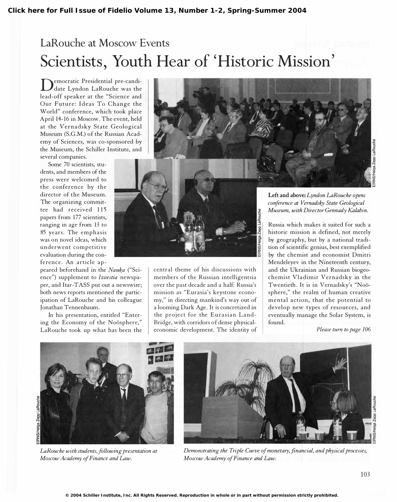## LaRouche at Moscow Events Scientists, Youth Hear of 'Historic Mission'

Democratic Fresidential pre-candiemocratic Presidential pre-candilead-off speaker at the "Science and Our Future: Ideas To Change the World" conference, which took place April 14-16 in Moscow. The event, held at the Vernadsky State Geological Museum (S.G.M.) of the Russian Academy of Sciences, was co-sponsored by the Museum, the Schiller Institute, and several companies.

Some 70 scientists, students, and members of the press were welcomed to the conference by the director of the Museum. The organizing committee had received 115 papers from 177 scientists, ranging in age from 13 to 85 years. The emphasis was on novel ideas, which underwent competitive evaluation during the confe rence. An article ap-

peared beforehand in the Nauka ("Science") supplement to Izvestia newspaper, and Itar-TASS put out a newswire; both news reports mentioned the participation of LaRouche and his colleague Jonathan Tennenbaum.

In his presentation, entitled "Entering the Economy of the Noösphere," LaRouche took up what has been the



Left and above: Lyndon LaRouche opens conference at Vernadsky State Geological Museum, with Director Gennady Kalabin.

Russia which makes it suited for such a historic mission is defined, not merely by geography, but by a national tradition of scientific genius, best exemplified by the chemist and economist Dmitri Mendeleyev in the Nineteenth century, and the Ukrainian and Russian biogeochemist Vladimir Vernadsky in the Twentieth. It is in Vernadsky's "Noösphere," the realm of human creative mental action, that the potential to develop new types of resources, and eventually manage the Solar System, is found.



LaRouche with students, following presentation at Moscow Academy of Finance and Law.



Demonstrating the Triple Curve of monetary, financial, and physical processes, Moscow Academy of Finance and Law.

central theme of his discussions with members of the Russian intelligentsia over the past decade and a half: Russia's mission as "Eurasia's keystone economy," in directing mankind's way out of a looming Dark Age. It is concretized in the project for the Eurasian Land-